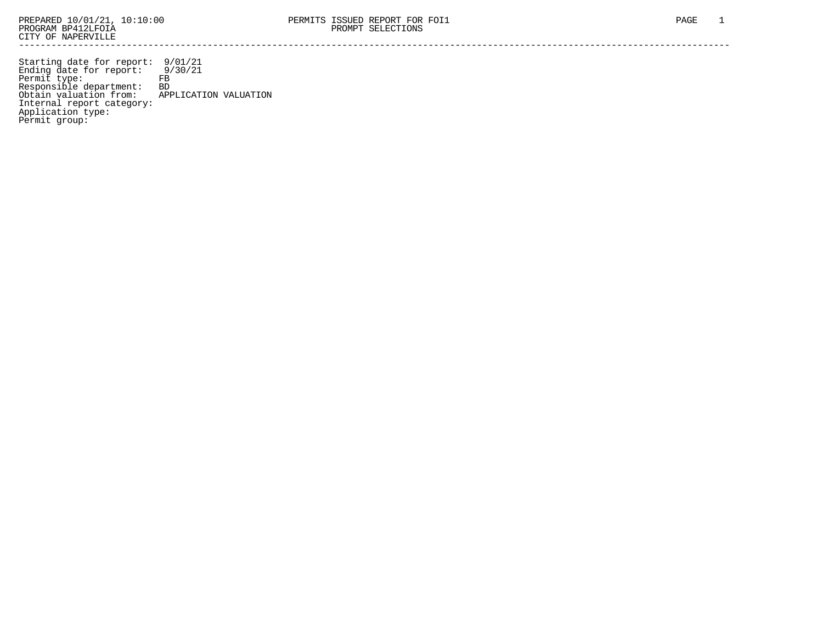Starting date for report: 9/01/21 Ending date for report: 9/30/21 Permit type: FB Responsible department: BD Obtain valuation from: APPLICATION VALUATION Internal report category: Application type: Permit group: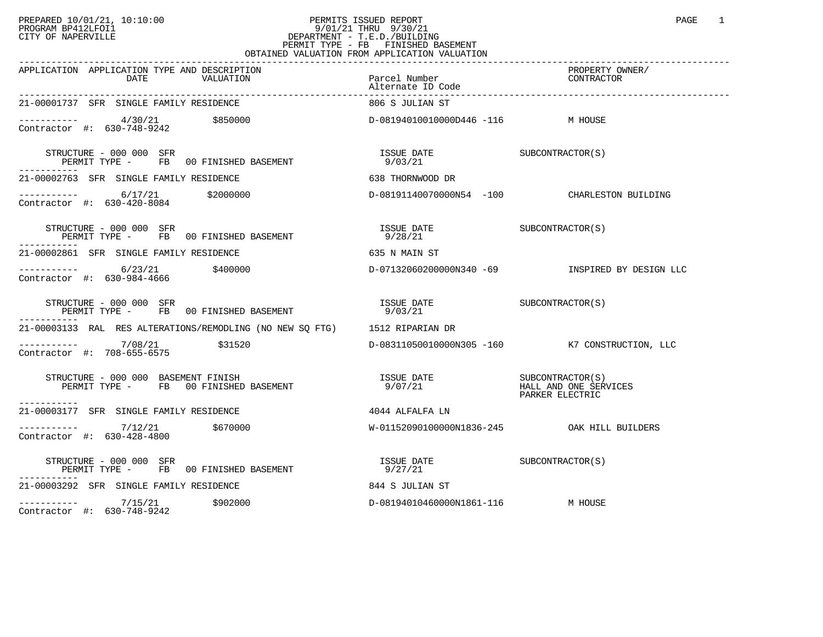## PREPARED 10/01/21, 10:10:00 PERMITS ISSUED REPORT PAGE 1 PAGE 1 PROGRAM BP412LFOI1 9/01/21 THRU 9/30/21 CITY OF NAPERVILLE **Example 20** CITY OF NAPERVILLE PERMIT TYPE - FB FINISHED BASEMENT OBTAINED VALUATION FROM APPLICATION VALUATION

| APPLICATION APPLICATION TYPE AND DESCRIPTION<br>DATE<br>VALUATION                           | Parcel Number<br>Alternate ID Code     | PROPERTY OWNER/<br>CONTRACTOR                                 |
|---------------------------------------------------------------------------------------------|----------------------------------------|---------------------------------------------------------------|
| 21-00001737 SFR SINGLE FAMILY RESIDENCE                                                     | 806 S JULIAN ST                        |                                                               |
| ----------- 4/30/21 \$850000<br>Contractor #: 630-748-9242                                  | D-08194010010000D446 -116 M HOUSE      |                                                               |
| STRUCTURE - 000 000 SFR<br>PERMIT TYPE - FB 00 FINISHED BASEMENT                            | ISSUE DATE SUBCONTRACTOR(S)<br>9/03/21 |                                                               |
| 21-00002763 SFR SINGLE FAMILY RESIDENCE                                                     | 638 THORNWOOD DR                       |                                                               |
| $------$ 6/17/21 \$2000000<br>Contractor #: 630-420-8084                                    |                                        | D-08191140070000N54 -100 CHARLESTON BUILDING                  |
| STRUCTURE - 000 000 SFR<br>PERMIT TYPE - FB 00 FINISHED BASEMENT<br>------------            | ISSUE DATE<br>9/28/21                  | SUBCONTRACTOR (S)                                             |
| 21-00002861 SFR SINGLE FAMILY RESIDENCE                                                     | 635 N MAIN ST                          |                                                               |
| $---------$ 6/23/21 \$400000<br>Contractor #: 630-984-4666                                  |                                        | D-07132060200000N340 -69               INSPIRED BY DESIGN LLC |
| STRUCTURE - 000 000 SFR<br>PERMIT TYPE - FB 00 FINISHED BASEMENT                            | ISSUE DATE<br>9/03/21                  | SUBCONTRACTOR (S)                                             |
| 21-00003133 RAL RES ALTERATIONS/REMODLING (NO NEW SQ FTG) 1512 RIPARIAN DR                  |                                        |                                                               |
| ----------- 7/08/21<br>\$31520<br>Contractor #: 708-655-6575                                |                                        | D-08311050010000N305 -160 K7 CONSTRUCTION, LLC                |
| STRUCTURE - 000 000 BASEMENT FINISH<br>PERMIT TYPE - FB 00 FINISHED BASEMENT<br>----------- |                                        | PARKER ELECTRIC                                               |
| 21-00003177 SFR SINGLE FAMILY RESIDENCE                                                     | 4044 ALFALFA LN                        |                                                               |
| $------$ 7/12/21 \$670000<br>Contractor #: 630-428-4800                                     |                                        |                                                               |
| STRUCTURE - 000 000 SFR<br>PERMIT TYPE - FB 00 FINISHED BASEMENT<br>-----------             | ISSUE DATE SUBCONTRACTOR(S)<br>9/27/21 |                                                               |
| 21-00003292 SFR SINGLE FAMILY RESIDENCE                                                     | 844 S JULIAN ST                        |                                                               |
| $---------$ 7/15/21 \$902000<br>Contractor #: 630-748-9242                                  | D-08194010460000N1861-116              | M HOUSE                                                       |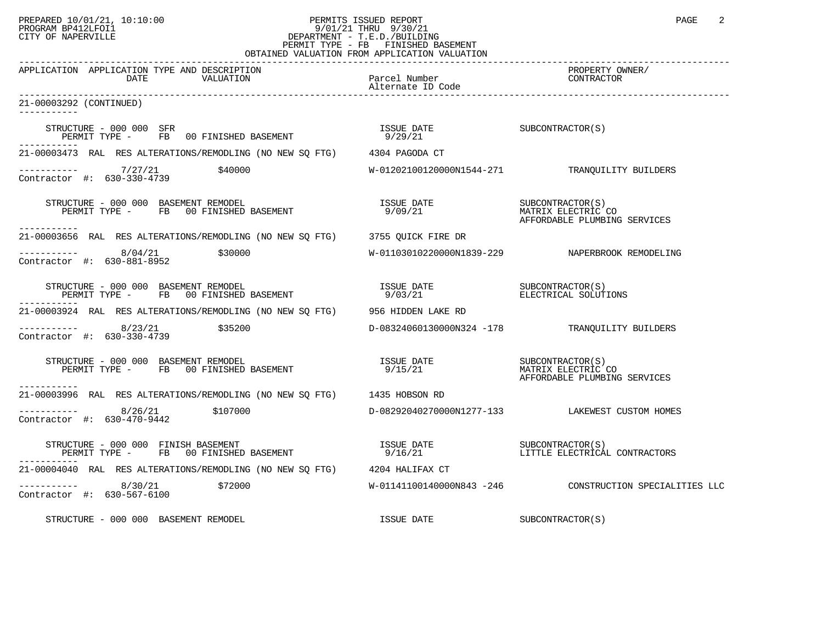## PREPARED 10/01/21, 10:10:00 PERMITS ISSUED REPORT PAGE 2<br>PROGRAM BP412LFOI1 PROGRAM PROGRAM BP412LFOI1 PROGRAM BP412LFOI1 9/01/21 THRU 9/30/21 CITY OF NAPERVILLE **Example 20** CITY OF NAPERVILLE PERMIT TYPE - FB FINISHED BASEMENT OBTAINED VALUATION FROM APPLICATION VALUATION

| APPLICATION APPLICATION TYPE AND DESCRIPTION<br>DATE<br>VALUATION                                                                                                              | Parcel Number<br>Alternate ID Code     | PROPERTY OWNER/<br>CONTRACTOR                                           |
|--------------------------------------------------------------------------------------------------------------------------------------------------------------------------------|----------------------------------------|-------------------------------------------------------------------------|
| 21-00003292 (CONTINUED)                                                                                                                                                        |                                        |                                                                         |
| STRUCTURE - 000 000 SFR<br>PERMIT TYPE - FB 00 FINISHED BASEMENT                                                                                                               | ISSUE DATE SUBCONTRACTOR(S)<br>9/29/21 |                                                                         |
| 21-00003473 RAL RES ALTERATIONS/REMODLING (NO NEW SQ FTG) 4304 PAGODA CT                                                                                                       |                                        |                                                                         |
| Contractor #: 630-330-4739                                                                                                                                                     |                                        | W-01202100120000N1544-271 TRANQUILITY BUILDERS                          |
| RUCTURE - 000 000 BASEMENT REMODEL<br>PERMIT TYPE -     FB   00 FINISHED BASEMENT<br>STRUCTURE - 000 000 BASEMENT REMODEL<br>-----------                                       | ISSUE DATE<br>9/09/21                  | SUBCONTRACTOR(S)<br>MATRIX ELECTRIC CO<br>AFFORDABLE PLUMBING SERVICES  |
| 21-00003656 RAL RES ALTERATIONS/REMODLING (NO NEW SQ FTG) 3755 QUICK FIRE DR                                                                                                   |                                        |                                                                         |
| $--------- 8/04/21$ \$30000<br>Contractor #: 630-881-8952                                                                                                                      |                                        | W-01103010220000N1839-229 NAPERBROOK REMODELING                         |
| STRUCTURE - 000 000 BASEMENT REMODEL<br>PERMIT TYPE - FB 00 FINISHED BASEMENT                                                                                                  |                                        |                                                                         |
| 21-00003924 RAL RES ALTERATIONS/REMODLING (NO NEW SO FTG) 956 HIDDEN LAKE RD                                                                                                   |                                        |                                                                         |
| Contractor #: 630-330-4739                                                                                                                                                     |                                        | D-08324060130000N324 -178 TRANOUILITY BUILDERS                          |
| STRUCTURE - 000 000 BASEMENT REMODEL<br>PERMIT TYPE - FB 00 FINISHED BASEMENT<br>-----------                                                                                   | ISSUE DATE<br>9/15/21                  | SUBCONTRACTOR (S)<br>MATRIX ELECTRIC CO<br>AFFORDABLE PLUMBING SERVICES |
| 21-00003996 RAL RES ALTERATIONS/REMODLING (NO NEW SQ FTG) 1435 HOBSON RD                                                                                                       |                                        |                                                                         |
| $--------- 8/26/21$ \$107000<br>Contractor #: 630-470-9442                                                                                                                     |                                        | D-08292040270000N1277-133 LAKEWEST CUSTOM HOMES                         |
| $\begin{array}{cccc} \texttt{STRUCTURE} & - & 000 & 000 & \texttt{FINISH BASEMENT} \\ \texttt{PERMIT TYPE} & - & \texttt{FB} & 00 & \texttt{FINISHED BASEMENT} \\ \end{array}$ |                                        |                                                                         |
| 21-00004040 RAL RES ALTERATIONS/REMODLING (NO NEW SO FTG) 4204 HALIFAX CT                                                                                                      |                                        |                                                                         |
| $---------$ 8/30/21 \$72000<br>Contractor #: 630-567-6100                                                                                                                      |                                        | W-01141100140000N843 -246 CONSTRUCTION SPECIALITIES LLC                 |
| STRUCTURE - 000 000 BASEMENT REMODEL                                                                                                                                           | ISSUE DATE                             | SUBCONTRACTOR(S)                                                        |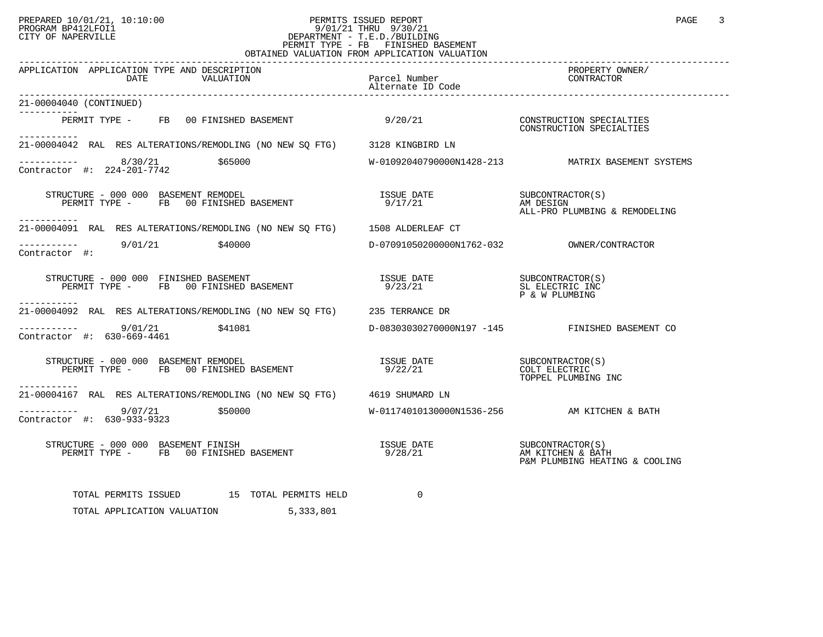## PREPARED 10/01/21, 10:10:00 PERMITS ISSUED REPORT PAGE 3<br>PROGRAM BP412LFOI1 PROGRAM PROGRAM BP412LFOI1 PROGRAM BP412LFOI1 9/01/21 THRU 9/30/21 CITY OF NAPERVILLE **Example 20** CITY OF NAPERVILLE PERMIT TYPE - FB FINISHED BASEMENT OBTAINED VALUATION FROM APPLICATION VALUATION

| APPLICATION APPLICATION TYPE AND DESCRIPTION<br>DATE<br>VALUATION                                                                                                                                                                                                                                        | Parcel Number<br>31tes - IP Gade<br>Alternate ID Code                            | PROPERTY OWNER/<br>CONTRACTOR                            |
|----------------------------------------------------------------------------------------------------------------------------------------------------------------------------------------------------------------------------------------------------------------------------------------------------------|----------------------------------------------------------------------------------|----------------------------------------------------------|
| 21-00004040 (CONTINUED)                                                                                                                                                                                                                                                                                  |                                                                                  |                                                          |
| PERMIT TYPE - FB 00 FINISHED BASEMENT<br>-----------                                                                                                                                                                                                                                                     | 9/20/21                                                                          | CONSTRUCTION SPECIALTIES<br>CONSTRUCTION SPECIALTIES     |
| 21-00004042 RAL RES ALTERATIONS/REMODLING (NO NEW SO FTG) 3128 KINGBIRD LN                                                                                                                                                                                                                               |                                                                                  |                                                          |
| $---------$ 8/30/21 \$65000<br>Contractor #: 224-201-7742                                                                                                                                                                                                                                                |                                                                                  | W-01092040790000N1428-213 MATRIX BASEMENT SYSTEMS        |
| $\begin{array}{cccccc} \texttt{STRUCTURE} & - & 000 & 000 & \texttt{BASEMENT REMODEL} & & & & & \\ \texttt{PERMIT TYPE} & - & \texttt{FB} & 00 \texttt{ FINISHED BASEMENT} & & & & & \\ \texttt{PERMIT TYPE} & - & \texttt{FB} & 00 \texttt{ FINISHED BASEMENT} & & & & & \\ \end{array}$<br>----------- |                                                                                  | ALL-PRO PLUMBING & REMODELING                            |
| 21-00004091 RAL RES ALTERATIONS/REMODLING (NO NEW SQ FTG) 1508 ALDERLEAF CT                                                                                                                                                                                                                              |                                                                                  |                                                          |
| $--------- 9/01/21$ \$40000<br>Contractor #:                                                                                                                                                                                                                                                             |                                                                                  |                                                          |
| STRUCTURE - 000 000 FINISHED BASEMENT<br>PERMIT TYPE - FB 00 FINISHED BASEMENT<br>-----------                                                                                                                                                                                                            | ISSUE DATE<br>9/23/21                                                            | SUBCONTRACTOR(S)<br>SL ELECTRIC INC<br>P & W PLUMBING    |
| 21-00004092 RAL RES ALTERATIONS/REMODLING (NO NEW SQ FTG) 235 TERRANCE DR                                                                                                                                                                                                                                |                                                                                  |                                                          |
| $--------- 9/01/21$ \$41081<br>Contractor #: 630-669-4461                                                                                                                                                                                                                                                |                                                                                  | D-08303030270000N197 -145 FINISHED BASEMENT CO           |
| STRUCTURE - 000 000 BASEMENT REMODEL<br>PERMIT TYPE - FB 00 FINISHED BASEMENT<br>-----------                                                                                                                                                                                                             | ISSUE DATE<br>9/22/21                                                            | SUBCONTRACTOR(S)<br>COLT ELECTRIC<br>TOPPEL PLUMBING INC |
| 21-00004167 RAL RES ALTERATIONS/REMODLING (NO NEW SO FTG) 4619 SHUMARD LN                                                                                                                                                                                                                                |                                                                                  |                                                          |
| ---------- 9/07/21 \$50000<br>Contractor #: 630-933-9323                                                                                                                                                                                                                                                 |                                                                                  | W-01174010130000N1536-256 AM KITCHEN & BATH              |
|                                                                                                                                                                                                                                                                                                          | ISSUE DATE SUBCONTRACTOR(S)<br>9/28/21 M AM KITCHEN & BATH<br>P&M PLUMBING HEATI | P&M PLUMBING HEATING & COOLING                           |
| TOTAL PERMITS ISSUED 15 TOTAL PERMITS HELD                                                                                                                                                                                                                                                               | $\Omega$                                                                         |                                                          |
| TOTAL APPLICATION VALUATION 5,333,801                                                                                                                                                                                                                                                                    |                                                                                  |                                                          |